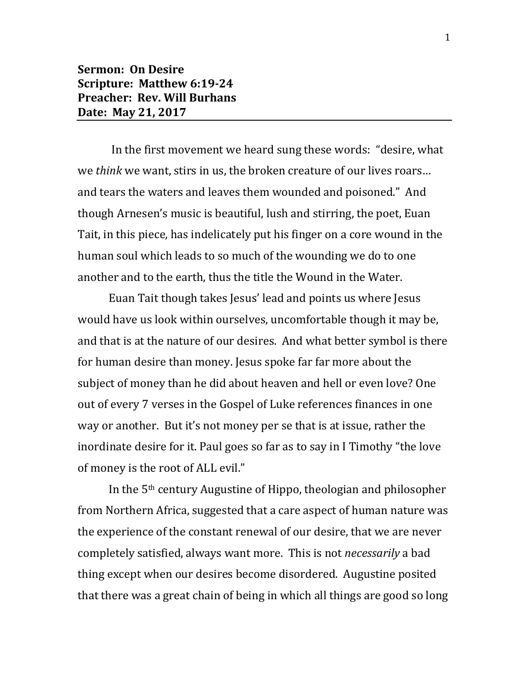## **Sermon: On Desire Scripture: Matthew 6:19-24 Preacher: Rev. Will Burhans Date: May 21, 2017**

In the first movement we heard sung these words: "desire, what we *think* we want, stirs in us, the broken creature of our lives roars… and tears the waters and leaves them wounded and poisoned." And though Arnesen's music is beautiful, lush and stirring, the poet, Euan Tait, in this piece, has indelicately put his finger on a core wound in the human soul which leads to so much of the wounding we do to one another and to the earth, thus the title the Wound in the Water.

Euan Tait though takes Jesus' lead and points us where Jesus would have us look within ourselves, uncomfortable though it may be, and that is at the nature of our desires. And what better symbol is there for human desire than money. Jesus spoke far far more about the subject of money than he did about heaven and hell or even love? One out of every 7 verses in the Gospel of Luke references finances in one way or another. But it's not money per se that is at issue, rather the inordinate desire for it. Paul goes so far as to say in I Timothy "the love of money is the root of ALL evil."

In the 5th century Augustine of Hippo, theologian and philosopher from Northern Africa, suggested that a care aspect of human nature was the experience of the constant renewal of our desire, that we are never completely satisfied, always want more. This is not *necessarily* a bad thing except when our desires become disordered. Augustine posited that there was a great chain of being in which all things are good so long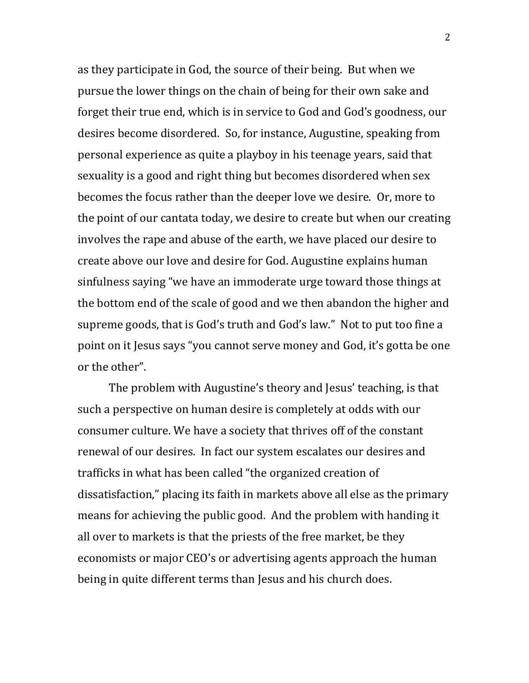as they participate in God, the source of their being. But when we pursue the lower things on the chain of being for their own sake and forget their true end, which is in service to God and God's goodness, our desires become disordered. So, for instance, Augustine, speaking from personal experience as quite a playboy in his teenage years, said that sexuality is a good and right thing but becomes disordered when sex becomes the focus rather than the deeper love we desire. Or, more to the point of our cantata today, we desire to create but when our creating involves the rape and abuse of the earth, we have placed our desire to create above our love and desire for God. Augustine explains human sinfulness saying "we have an immoderate urge toward those things at the bottom end of the scale of good and we then abandon the higher and supreme goods, that is God's truth and God's law." Not to put too fine a point on it Jesus says "you cannot serve money and God, it's gotta be one or the other".

The problem with Augustine's theory and Jesus' teaching, is that such a perspective on human desire is completely at odds with our consumer culture. We have a society that thrives off of the constant renewal of our desires. In fact our system escalates our desires and trafficks in what has been called "the organized creation of dissatisfaction," placing its faith in markets above all else as the primary means for achieving the public good. And the problem with handing it all over to markets is that the priests of the free market, be they economists or major CEO's or advertising agents approach the human being in quite different terms than Jesus and his church does.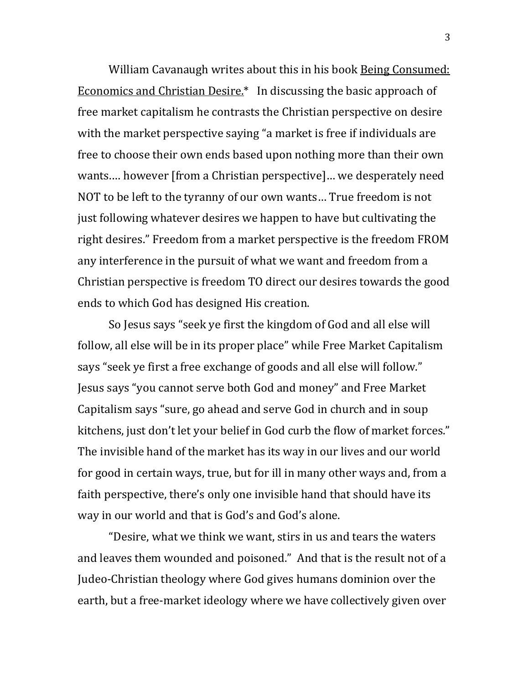William Cavanaugh writes about this in his book Being Consumed: Economics and Christian Desire.\* In discussing the basic approach of free market capitalism he contrasts the Christian perspective on desire with the market perspective saying "a market is free if individuals are free to choose their own ends based upon nothing more than their own wants.… however [from a Christian perspective]… we desperately need NOT to be left to the tyranny of our own wants… True freedom is not just following whatever desires we happen to have but cultivating the right desires." Freedom from a market perspective is the freedom FROM any interference in the pursuit of what we want and freedom from a Christian perspective is freedom TO direct our desires towards the good ends to which God has designed His creation.

So Jesus says "seek ye first the kingdom of God and all else will follow, all else will be in its proper place" while Free Market Capitalism says "seek ye first a free exchange of goods and all else will follow." Jesus says "you cannot serve both God and money" and Free Market Capitalism says "sure, go ahead and serve God in church and in soup kitchens, just don't let your belief in God curb the flow of market forces." The invisible hand of the market has its way in our lives and our world for good in certain ways, true, but for ill in many other ways and, from a faith perspective, there's only one invisible hand that should have its way in our world and that is God's and God's alone.

"Desire, what we think we want, stirs in us and tears the waters and leaves them wounded and poisoned." And that is the result not of a Judeo-Christian theology where God gives humans dominion over the earth, but a free-market ideology where we have collectively given over